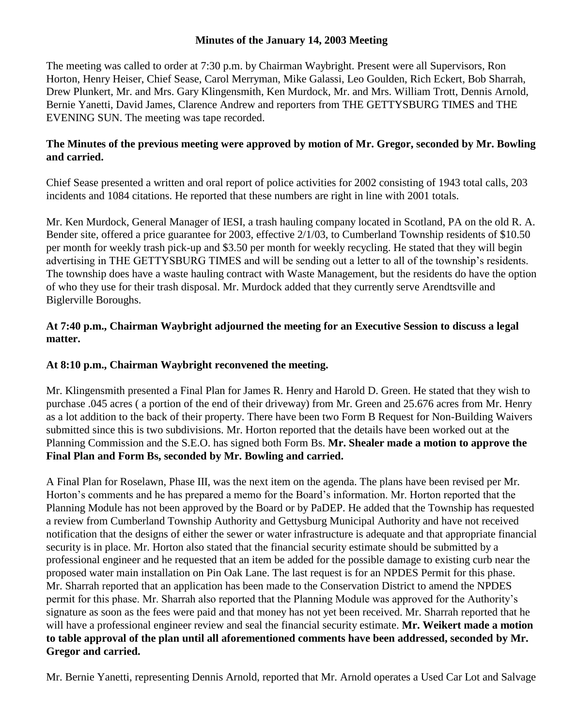### **Minutes of the January 14, 2003 Meeting**

The meeting was called to order at 7:30 p.m. by Chairman Waybright. Present were all Supervisors, Ron Horton, Henry Heiser, Chief Sease, Carol Merryman, Mike Galassi, Leo Goulden, Rich Eckert, Bob Sharrah, Drew Plunkert, Mr. and Mrs. Gary Klingensmith, Ken Murdock, Mr. and Mrs. William Trott, Dennis Arnold, Bernie Yanetti, David James, Clarence Andrew and reporters from THE GETTYSBURG TIMES and THE EVENING SUN. The meeting was tape recorded.

# **The Minutes of the previous meeting were approved by motion of Mr. Gregor, seconded by Mr. Bowling and carried.**

Chief Sease presented a written and oral report of police activities for 2002 consisting of 1943 total calls, 203 incidents and 1084 citations. He reported that these numbers are right in line with 2001 totals.

Mr. Ken Murdock, General Manager of IESI, a trash hauling company located in Scotland, PA on the old R. A. Bender site, offered a price guarantee for 2003, effective 2/1/03, to Cumberland Township residents of \$10.50 per month for weekly trash pick-up and \$3.50 per month for weekly recycling. He stated that they will begin advertising in THE GETTYSBURG TIMES and will be sending out a letter to all of the township's residents. The township does have a waste hauling contract with Waste Management, but the residents do have the option of who they use for their trash disposal. Mr. Murdock added that they currently serve Arendtsville and Biglerville Boroughs.

## **At 7:40 p.m., Chairman Waybright adjourned the meeting for an Executive Session to discuss a legal matter.**

# **At 8:10 p.m., Chairman Waybright reconvened the meeting.**

Mr. Klingensmith presented a Final Plan for James R. Henry and Harold D. Green. He stated that they wish to purchase .045 acres ( a portion of the end of their driveway) from Mr. Green and 25.676 acres from Mr. Henry as a lot addition to the back of their property. There have been two Form B Request for Non-Building Waivers submitted since this is two subdivisions. Mr. Horton reported that the details have been worked out at the Planning Commission and the S.E.O. has signed both Form Bs. **Mr. Shealer made a motion to approve the Final Plan and Form Bs, seconded by Mr. Bowling and carried.**

A Final Plan for Roselawn, Phase III, was the next item on the agenda. The plans have been revised per Mr. Horton's comments and he has prepared a memo for the Board's information. Mr. Horton reported that the Planning Module has not been approved by the Board or by PaDEP. He added that the Township has requested a review from Cumberland Township Authority and Gettysburg Municipal Authority and have not received notification that the designs of either the sewer or water infrastructure is adequate and that appropriate financial security is in place. Mr. Horton also stated that the financial security estimate should be submitted by a professional engineer and he requested that an item be added for the possible damage to existing curb near the proposed water main installation on Pin Oak Lane. The last request is for an NPDES Permit for this phase. Mr. Sharrah reported that an application has been made to the Conservation District to amend the NPDES permit for this phase. Mr. Sharrah also reported that the Planning Module was approved for the Authority's signature as soon as the fees were paid and that money has not yet been received. Mr. Sharrah reported that he will have a professional engineer review and seal the financial security estimate. **Mr. Weikert made a motion to table approval of the plan until all aforementioned comments have been addressed, seconded by Mr. Gregor and carried.**

Mr. Bernie Yanetti, representing Dennis Arnold, reported that Mr. Arnold operates a Used Car Lot and Salvage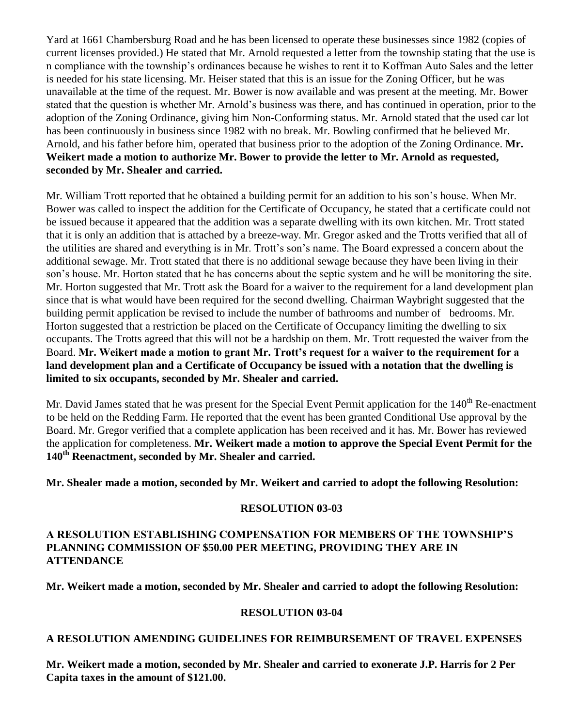Yard at 1661 Chambersburg Road and he has been licensed to operate these businesses since 1982 (copies of current licenses provided.) He stated that Mr. Arnold requested a letter from the township stating that the use is n compliance with the township's ordinances because he wishes to rent it to Koffman Auto Sales and the letter is needed for his state licensing. Mr. Heiser stated that this is an issue for the Zoning Officer, but he was unavailable at the time of the request. Mr. Bower is now available and was present at the meeting. Mr. Bower stated that the question is whether Mr. Arnold's business was there, and has continued in operation, prior to the adoption of the Zoning Ordinance, giving him Non-Conforming status. Mr. Arnold stated that the used car lot has been continuously in business since 1982 with no break. Mr. Bowling confirmed that he believed Mr. Arnold, and his father before him, operated that business prior to the adoption of the Zoning Ordinance. **Mr. Weikert made a motion to authorize Mr. Bower to provide the letter to Mr. Arnold as requested, seconded by Mr. Shealer and carried.**

Mr. William Trott reported that he obtained a building permit for an addition to his son's house. When Mr. Bower was called to inspect the addition for the Certificate of Occupancy, he stated that a certificate could not be issued because it appeared that the addition was a separate dwelling with its own kitchen. Mr. Trott stated that it is only an addition that is attached by a breeze-way. Mr. Gregor asked and the Trotts verified that all of the utilities are shared and everything is in Mr. Trott's son's name. The Board expressed a concern about the additional sewage. Mr. Trott stated that there is no additional sewage because they have been living in their son's house. Mr. Horton stated that he has concerns about the septic system and he will be monitoring the site. Mr. Horton suggested that Mr. Trott ask the Board for a waiver to the requirement for a land development plan since that is what would have been required for the second dwelling. Chairman Waybright suggested that the building permit application be revised to include the number of bathrooms and number of bedrooms. Mr. Horton suggested that a restriction be placed on the Certificate of Occupancy limiting the dwelling to six occupants. The Trotts agreed that this will not be a hardship on them. Mr. Trott requested the waiver from the Board. **Mr. Weikert made a motion to grant Mr. Trott's request for a waiver to the requirement for a land development plan and a Certificate of Occupancy be issued with a notation that the dwelling is limited to six occupants, seconded by Mr. Shealer and carried.**

Mr. David James stated that he was present for the Special Event Permit application for the 140<sup>th</sup> Re-enactment to be held on the Redding Farm. He reported that the event has been granted Conditional Use approval by the Board. Mr. Gregor verified that a complete application has been received and it has. Mr. Bower has reviewed the application for completeness. **Mr. Weikert made a motion to approve the Special Event Permit for the 140th Reenactment, seconded by Mr. Shealer and carried.**

**Mr. Shealer made a motion, seconded by Mr. Weikert and carried to adopt the following Resolution:** 

#### **RESOLUTION 03-03**

## **A RESOLUTION ESTABLISHING COMPENSATION FOR MEMBERS OF THE TOWNSHIP'S PLANNING COMMISSION OF \$50.00 PER MEETING, PROVIDING THEY ARE IN ATTENDANCE**

**Mr. Weikert made a motion, seconded by Mr. Shealer and carried to adopt the following Resolution:**

#### **RESOLUTION 03-04**

#### **A RESOLUTION AMENDING GUIDELINES FOR REIMBURSEMENT OF TRAVEL EXPENSES**

**Mr. Weikert made a motion, seconded by Mr. Shealer and carried to exonerate J.P. Harris for 2 Per Capita taxes in the amount of \$121.00.**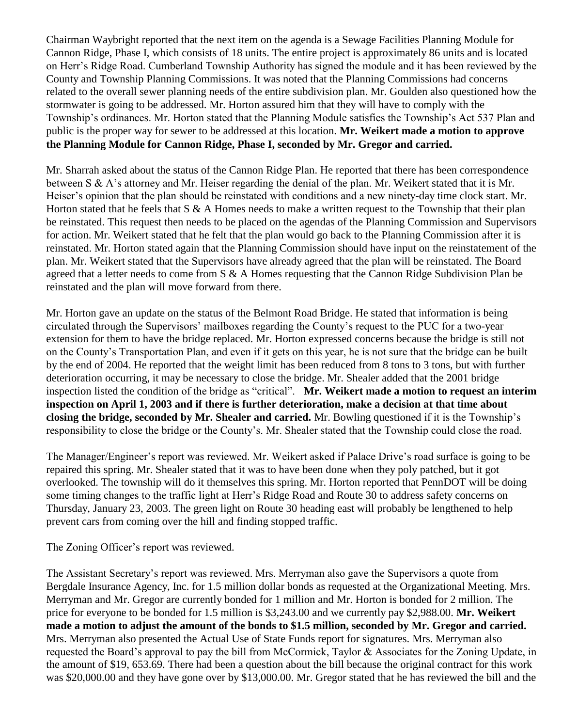Chairman Waybright reported that the next item on the agenda is a Sewage Facilities Planning Module for Cannon Ridge, Phase I, which consists of 18 units. The entire project is approximately 86 units and is located on Herr's Ridge Road. Cumberland Township Authority has signed the module and it has been reviewed by the County and Township Planning Commissions. It was noted that the Planning Commissions had concerns related to the overall sewer planning needs of the entire subdivision plan. Mr. Goulden also questioned how the stormwater is going to be addressed. Mr. Horton assured him that they will have to comply with the Township's ordinances. Mr. Horton stated that the Planning Module satisfies the Township's Act 537 Plan and public is the proper way for sewer to be addressed at this location. **Mr. Weikert made a motion to approve the Planning Module for Cannon Ridge, Phase I, seconded by Mr. Gregor and carried.** 

Mr. Sharrah asked about the status of the Cannon Ridge Plan. He reported that there has been correspondence between S & A's attorney and Mr. Heiser regarding the denial of the plan. Mr. Weikert stated that it is Mr. Heiser's opinion that the plan should be reinstated with conditions and a new ninety-day time clock start. Mr. Horton stated that he feels that  $S \& A$  Homes needs to make a written request to the Township that their plan be reinstated. This request then needs to be placed on the agendas of the Planning Commission and Supervisors for action. Mr. Weikert stated that he felt that the plan would go back to the Planning Commission after it is reinstated. Mr. Horton stated again that the Planning Commission should have input on the reinstatement of the plan. Mr. Weikert stated that the Supervisors have already agreed that the plan will be reinstated. The Board agreed that a letter needs to come from S & A Homes requesting that the Cannon Ridge Subdivision Plan be reinstated and the plan will move forward from there.

Mr. Horton gave an update on the status of the Belmont Road Bridge. He stated that information is being circulated through the Supervisors' mailboxes regarding the County's request to the PUC for a two-year extension for them to have the bridge replaced. Mr. Horton expressed concerns because the bridge is still not on the County's Transportation Plan, and even if it gets on this year, he is not sure that the bridge can be built by the end of 2004. He reported that the weight limit has been reduced from 8 tons to 3 tons, but with further deterioration occurring, it may be necessary to close the bridge. Mr. Shealer added that the 2001 bridge inspection listed the condition of the bridge as "critical". **Mr. Weikert made a motion to request an interim inspection on April 1, 2003 and if there is further deterioration, make a decision at that time about closing the bridge, seconded by Mr. Shealer and carried.** Mr. Bowling questioned if it is the Township's responsibility to close the bridge or the County's. Mr. Shealer stated that the Township could close the road.

The Manager/Engineer's report was reviewed. Mr. Weikert asked if Palace Drive's road surface is going to be repaired this spring. Mr. Shealer stated that it was to have been done when they poly patched, but it got overlooked. The township will do it themselves this spring. Mr. Horton reported that PennDOT will be doing some timing changes to the traffic light at Herr's Ridge Road and Route 30 to address safety concerns on Thursday, January 23, 2003. The green light on Route 30 heading east will probably be lengthened to help prevent cars from coming over the hill and finding stopped traffic.

The Zoning Officer's report was reviewed.

The Assistant Secretary's report was reviewed. Mrs. Merryman also gave the Supervisors a quote from Bergdale Insurance Agency, Inc. for 1.5 million dollar bonds as requested at the Organizational Meeting. Mrs. Merryman and Mr. Gregor are currently bonded for 1 million and Mr. Horton is bonded for 2 million. The price for everyone to be bonded for 1.5 million is \$3,243.00 and we currently pay \$2,988.00. **Mr. Weikert made a motion to adjust the amount of the bonds to \$1.5 million, seconded by Mr. Gregor and carried.**  Mrs. Merryman also presented the Actual Use of State Funds report for signatures. Mrs. Merryman also requested the Board's approval to pay the bill from McCormick, Taylor & Associates for the Zoning Update, in the amount of \$19, 653.69. There had been a question about the bill because the original contract for this work was \$20,000.00 and they have gone over by \$13,000.00. Mr. Gregor stated that he has reviewed the bill and the